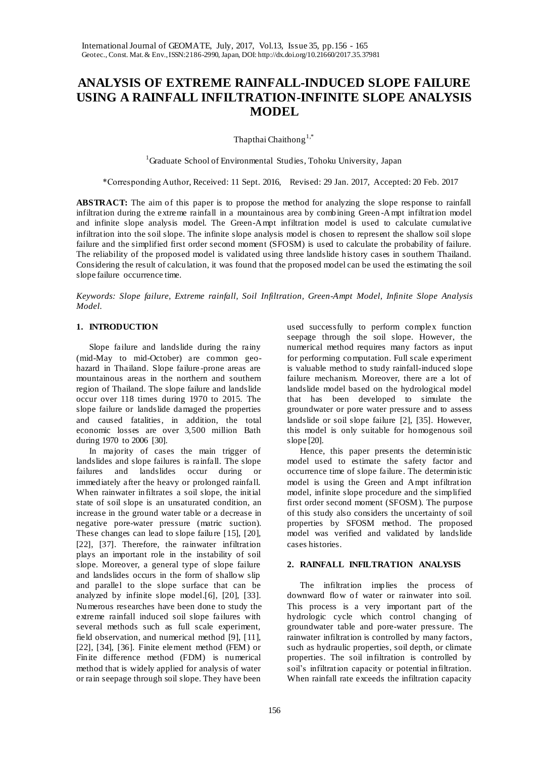# **ANALYSIS OF EXTREME RAINFALL-INDUCED SLOPE FAILURE USING A RAINFALL INFILTRATION-INFINITE SLOPE ANALYSIS MODEL**

Thapthai Chaithong<sup>1,\*</sup>

<sup>1</sup>Graduate School of Environmental Studies, Tohoku University, Japan

\*Corresponding Author, Received: 11 Sept. 2016, Revised: 29 Jan. 2017, Accepted: 20 Feb. 2017

**ABSTRACT:** The aim of this paper is to propose the method for analyzing the slope response to rainfall infiltration during the extreme rainfall in a mountainous area by combining Green -Ampt infiltration model and infinite slope analysis model. The Green-Ampt infiltration model is used to calculate cumulative infiltration into the soil slope. The infinite slope analysis model is chosen to represent the shallow soil slope failure and the simplified first order second moment (SFOSM) is used to calculate the probability of failure. The reliability of the proposed model is validated using three landslide history cases in southern Thailand. Considering the result of calculation, it was found that the proposed model can be used the estimating the soil slope failure occurrence time.

*Keywords: Slope failure, Extreme rainfall, Soil Infiltration, Green-Ampt Model, Infinite Slope Analysis Model.*

# **1. INTRODUCTION**

Slope failure and landslide during the rainy (mid-May to mid-October) are common geohazard in Thailand. Slope failure -prone areas are mountainous areas in the northern and southern region of Thailand. The slope failure and landslide occur over 118 times during 1970 to 2015. The slope failure or landslide damaged the properties and caused fatalities, in addition, the total economic losses are over 3,500 million Bath during 1970 to 2006 [30].

In majority of cases the main trigger of landslides and slope failures is rainfall. The slope failures and landslides occur during or immediately after the heavy or prolonged rainfall. When rainwater infiltrates a soil slope, the initial state of soil slope is an unsaturated condition, an increase in the ground water table or a decrease in negative pore-water pressure (matric suction). These changes can lead to slope failure [15], [20], [22], [37]. Therefore, the rainwater infiltration plays an important role in the instability of soil slope. Moreover, a general type of slope failure and landslides occurs in the form of shallow slip and parallel to the slope surface that can be analyzed by infinite slope model.[6], [20], [33]. Numerous researches have been done to study the extreme rainfall induced soil slope failures with several methods such as full scale experiment, field observation, and numerical method [9], [11], [22], [34], [36]. Finite element method (FEM) or Finite difference method (FDM) is numerical method that is widely applied for analysis of water or rain seepage through soil slope. They have been

used successfully to perform complex function seepage through the soil slope. However, the numerical method requires many factors as input for performing computation. Full scale experiment is valuable method to study rainfall-induced slope failure mechanism. Moreover, there are a lot of landslide model based on the hydrological model that has been developed to simulate the groundwater or pore water pressure and to assess landslide or soil slope failure [2], [35]. However, this model is only suitable for homogenous soil slope [20].

Hence, this paper presents the deterministic model used to estimate the safety factor and occurrence time of slope failure. The deterministic model is using the Green and Ampt infiltration model, infinite slope procedure and the simplified first order second moment (SFOSM). The purpose of this study also considers the uncertainty of soil properties by SFOSM method. The proposed model was verified and validated by landslide cases histories.

### **2. RAINFALL INFILTRATION ANALYSIS**

The infiltration implies the process of downward flow of water or rainwater into soil. This process is a very important part of the hydrologic cycle which control changing of groundwater table and pore-water pressure. The rainwater infiltration is controlled by many factors, such as hydraulic properties, soil depth, or climate properties. The soil infiltration is controlled by soil's infiltration capacity or potential infiltration. When rainfall rate exceeds the infiltration capacity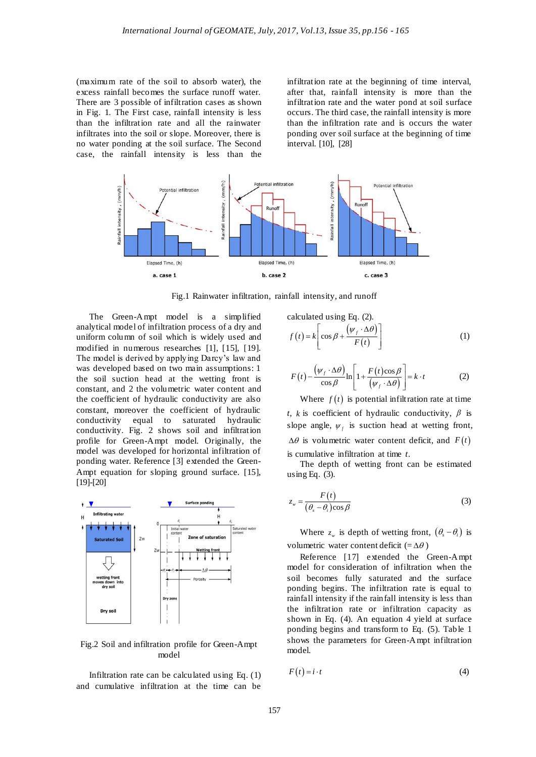(maximum rate of the soil to absorb water), the excess rainfall becomes the surface runoff water. There are 3 possible of infiltration cases as shown in Fig. 1. The First case, rainfall intensity is less than the infiltration rate and all the rainwater infiltrates into the soil or slope. Moreover, there is no water ponding at the soil surface. The Second case, the rainfall intensity is less than the infiltration rate at the beginning of time interval, after that, rainfall intensity is more than the infiltration rate and the water pond at soil surface occurs. The third case, the rainfall intensity is more than the infiltration rate and is occurs the water ponding over soil surface at the beginning of time interval. [10], [28]



Fig.1 Rainwater infiltration, rainfall intensity, and runoff

The Green-Ampt model is a simplified analytical model of infiltration process of a dry and uniform column of soil which is widely used and modified in numerous researches [1], [15], [19]. The model is derived by applying Darcy's law and was developed based on two main assumptions: 1 the soil suction head at the wetting front is constant, and 2 the volumetric water content and the coefficient of hydraulic conductivity are also constant, moreover the coefficient of hydraulic conductivity equal to saturated hydraulic conductivity. Fig. 2 shows soil and infiltration profile for Green-Ampt model. Originally, the model was developed for horizontal infiltration of ponding water. Reference [3] extended the Green-Ampt equation for sloping ground surface. [15], [19]-[20]



Fig.2 Soil and infiltration profile for Green-Ampt model

Infiltration rate can be calculated using Eq. (1) and cumulative infiltration at the time can be calculated using Eq. (2).

$$
f(t) = k \left[ \cos \beta + \frac{(\psi_f \cdot \Delta \theta)}{F(t)} \right]
$$
 (1)

$$
F(t) - \frac{(\psi_f \cdot \Delta \theta)}{\cos \beta} \ln \left[ 1 + \frac{F(t) \cos \beta}{(\psi_f \cdot \Delta \theta)} \right] = k \cdot t
$$
 (2)

Where  $f(t)$  is potential infiltration rate at time *t*, *k* is coefficient of hydraulic conductivity,  $\beta$  is slope angle,  $\psi_f$  is suction head at wetting front,  $\Delta\theta$  is volumetric water content deficit, and  $F(t)$ is cumulative infiltration at time *t*.

The depth of wetting front can be estimated using Eq.  $(3)$ .

$$
z_w = \frac{F(t)}{(\theta_s - \theta_i)\cos\beta} \tag{3}
$$

Where  $z_w$  is depth of wetting front,  $(\theta_s - \theta_i)$  is volumetric water content deficit (= $\Delta\theta$ )

Reference [17] extended the Green-Ampt model for consideration of infiltration when the soil becomes fully saturated and the surface ponding begins. The infiltration rate is equal to rainfall intensity if the rainfall intensity is less than the infiltration rate or infiltration capacity as shown in Eq. (4). An equation 4 yield at surface ponding begins and transform to Eq. (5). Table 1 shows the parameters for Green-Ampt infiltration model.

$$
F(t) = i \cdot t \tag{4}
$$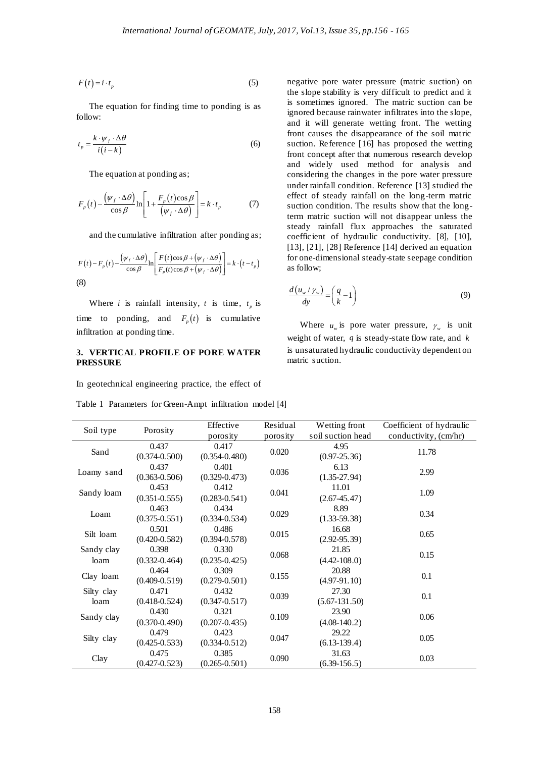$$
F(t) = i \cdot t_p \tag{5}
$$

$$
t_p = \frac{k \cdot \psi_f \cdot \Delta \theta}{i(i-k)}
$$
(6)

$$
F_p(t) - \frac{(\psi_f \cdot \Delta \theta)}{\cos \beta} \ln \left[ 1 + \frac{F_p(t) \cos \beta}{(\psi_f \cdot \Delta \theta)} \right] = k \cdot t_p \tag{7}
$$

$$
F(t) - F_p(t) - \frac{(\psi_f \cdot \Delta \theta)}{\cos \beta} \ln \left[ \frac{F(t) \cos \beta + (\psi_f \cdot \Delta \theta)}{F_p(t) \cos \beta + (\psi_f \cdot \Delta \theta)} \right] = k \cdot (t - t_p)
$$
\n(8)

### **3. VERTICAL PROFILE OF PORE WATER PRESSURE**

$$
\frac{d(u_w/\gamma_w)}{dy} = \left(\frac{q}{k} - 1\right)
$$
\n(9)

| follow:<br>$t_p = \frac{\kappa \cdot \psi_f \cdot \Delta \theta}{i(i-k)}$ | The equation at ponding as;<br>$F_p(t) - \frac{(\psi_f \cdot \Delta \theta)}{\cos \beta} \ln \left  1 + \frac{F_p(t) \cos \beta}{(\psi_f \cdot \Delta \theta)} \right  = k \cdot t_p$ | (5)<br>The equation for finding time to ponding is as<br>(6)<br>(7)                                                                                                                                                                                                                                               |                      | negative pore water pressure (matric suction) on<br>the slope stability is very difficult to predict and it<br>is sometimes ignored. The matric suction can be<br>ignored because rainwater infiltrates into the slope,<br>and it will generate wetting front. The wetting<br>front causes the disappearance of the soil matric<br>suction. Reference [16] has proposed the wetting<br>front concept after that numerous research develop<br>and widely used method for analysis and<br>considering the changes in the pore water pressure<br>under rainfall condition. Reference [13] studied the<br>effect of steady rainfall on the long-term matric<br>suction condition. The results show that the long-<br>term matric suction will not disappear unless the<br>steady rainfall flux approaches the saturated |                                                    |  |  |
|---------------------------------------------------------------------------|---------------------------------------------------------------------------------------------------------------------------------------------------------------------------------------|-------------------------------------------------------------------------------------------------------------------------------------------------------------------------------------------------------------------------------------------------------------------------------------------------------------------|----------------------|---------------------------------------------------------------------------------------------------------------------------------------------------------------------------------------------------------------------------------------------------------------------------------------------------------------------------------------------------------------------------------------------------------------------------------------------------------------------------------------------------------------------------------------------------------------------------------------------------------------------------------------------------------------------------------------------------------------------------------------------------------------------------------------------------------------------|----------------------------------------------------|--|--|
|                                                                           |                                                                                                                                                                                       | and the cumulative infiltration after ponding as;<br>$F(t) - F_p(t) - \frac{\left(\psi_f \cdot \Delta \theta\right)}{\cos \beta} \ln \left  \frac{F(t) \cos \beta + \left(\psi_f \cdot \Delta \theta\right)}{F_x(t) \cos \beta + \left(\psi_f \cdot \Delta \theta\right)} \right  = k \cdot \left(t - t_p\right)$ |                      | coefficient of hydraulic conductivity. [8], [10],<br>$[13]$ , $[21]$ , $[28]$ Reference $[14]$ derived an equation<br>for one-dimensional steady-state seepage condition<br>as follow;                                                                                                                                                                                                                                                                                                                                                                                                                                                                                                                                                                                                                              |                                                    |  |  |
| (8)                                                                       |                                                                                                                                                                                       |                                                                                                                                                                                                                                                                                                                   |                      |                                                                                                                                                                                                                                                                                                                                                                                                                                                                                                                                                                                                                                                                                                                                                                                                                     |                                                    |  |  |
|                                                                           |                                                                                                                                                                                       | Where <i>i</i> is rainfall intensity, <i>t</i> is time, $t_p$ is                                                                                                                                                                                                                                                  |                      | $\frac{d(u_w/\gamma_w)}{dv} = \left(\frac{q}{k} - 1\right)$                                                                                                                                                                                                                                                                                                                                                                                                                                                                                                                                                                                                                                                                                                                                                         | (9)                                                |  |  |
|                                                                           |                                                                                                                                                                                       | time to ponding, and $F_n(t)$ is cumulative                                                                                                                                                                                                                                                                       |                      |                                                                                                                                                                                                                                                                                                                                                                                                                                                                                                                                                                                                                                                                                                                                                                                                                     |                                                    |  |  |
| infiltration at ponding time.                                             |                                                                                                                                                                                       |                                                                                                                                                                                                                                                                                                                   |                      | Where $u_w$ is pore water pressure, $\gamma_w$ is unit<br>weight of water, $q$ is steady-state flow rate, and $k$                                                                                                                                                                                                                                                                                                                                                                                                                                                                                                                                                                                                                                                                                                   |                                                    |  |  |
| <b>PRESSURE</b>                                                           |                                                                                                                                                                                       | 3. VERTICAL PROFILE OF PORE WATER                                                                                                                                                                                                                                                                                 |                      | matric suction.                                                                                                                                                                                                                                                                                                                                                                                                                                                                                                                                                                                                                                                                                                                                                                                                     | is unsaturated hydraulic conductivity dependent on |  |  |
|                                                                           |                                                                                                                                                                                       | In geotechnical engineering practice, the effect of                                                                                                                                                                                                                                                               |                      |                                                                                                                                                                                                                                                                                                                                                                                                                                                                                                                                                                                                                                                                                                                                                                                                                     |                                                    |  |  |
|                                                                           |                                                                                                                                                                                       | Table 1 Parameters for Green-Ampt infiltration model [4]                                                                                                                                                                                                                                                          |                      |                                                                                                                                                                                                                                                                                                                                                                                                                                                                                                                                                                                                                                                                                                                                                                                                                     |                                                    |  |  |
|                                                                           |                                                                                                                                                                                       |                                                                                                                                                                                                                                                                                                                   |                      |                                                                                                                                                                                                                                                                                                                                                                                                                                                                                                                                                                                                                                                                                                                                                                                                                     |                                                    |  |  |
| Soil type                                                                 | Porosity                                                                                                                                                                              | Effective<br>porosity                                                                                                                                                                                                                                                                                             | Residual<br>porosity | Wetting front<br>soil suction head                                                                                                                                                                                                                                                                                                                                                                                                                                                                                                                                                                                                                                                                                                                                                                                  | Coefficient of hydraulic<br>conductivity, (cm/hr)  |  |  |
| Sand                                                                      | 0.437                                                                                                                                                                                 | 0.417                                                                                                                                                                                                                                                                                                             | 0.020                | 4.95                                                                                                                                                                                                                                                                                                                                                                                                                                                                                                                                                                                                                                                                                                                                                                                                                | 11.78                                              |  |  |
|                                                                           | $(0.374 - 0.500)$                                                                                                                                                                     | $(0.354 - 0.480)$                                                                                                                                                                                                                                                                                                 |                      | $(0.97 - 25.36)$                                                                                                                                                                                                                                                                                                                                                                                                                                                                                                                                                                                                                                                                                                                                                                                                    |                                                    |  |  |
| Loamy sand                                                                | 0.437<br>$(0.363 - 0.506)$                                                                                                                                                            | 0.401<br>$(0.329 - 0.473)$                                                                                                                                                                                                                                                                                        | 0.036                | 6.13<br>$(1.35-27.94)$                                                                                                                                                                                                                                                                                                                                                                                                                                                                                                                                                                                                                                                                                                                                                                                              | 2.99                                               |  |  |
|                                                                           | 0.453                                                                                                                                                                                 | 0.412                                                                                                                                                                                                                                                                                                             |                      | 11.01                                                                                                                                                                                                                                                                                                                                                                                                                                                                                                                                                                                                                                                                                                                                                                                                               |                                                    |  |  |
| Sandy loam                                                                | $(0.351 - 0.555)$                                                                                                                                                                     | $(0.283 - 0.541)$                                                                                                                                                                                                                                                                                                 | 0.041                | $(2.67 - 45.47)$                                                                                                                                                                                                                                                                                                                                                                                                                                                                                                                                                                                                                                                                                                                                                                                                    | 1.09                                               |  |  |
| Loam                                                                      | 0.463                                                                                                                                                                                 | 0.434                                                                                                                                                                                                                                                                                                             | 0.029                | 8.89                                                                                                                                                                                                                                                                                                                                                                                                                                                                                                                                                                                                                                                                                                                                                                                                                | 0.34                                               |  |  |
|                                                                           | $(0.375 - 0.551)$                                                                                                                                                                     | $(0.334 - 0.534)$                                                                                                                                                                                                                                                                                                 |                      | $(1.33 - 59.38)$                                                                                                                                                                                                                                                                                                                                                                                                                                                                                                                                                                                                                                                                                                                                                                                                    |                                                    |  |  |
| Silt loam                                                                 | 0.501<br>$(0.420 - 0.582)$                                                                                                                                                            | 0.486<br>$(0.394 - 0.578)$                                                                                                                                                                                                                                                                                        | 0.015                | 16.68<br>$(2.92 - 95.39)$                                                                                                                                                                                                                                                                                                                                                                                                                                                                                                                                                                                                                                                                                                                                                                                           | 0.65                                               |  |  |
| Sandy clay                                                                | 0.398                                                                                                                                                                                 | 0.330                                                                                                                                                                                                                                                                                                             |                      | 21.85                                                                                                                                                                                                                                                                                                                                                                                                                                                                                                                                                                                                                                                                                                                                                                                                               |                                                    |  |  |
| loam                                                                      | $(0.332 - 0.464)$                                                                                                                                                                     | $(0.235 - 0.425)$                                                                                                                                                                                                                                                                                                 | 0.068                | $(4.42 - 108.0)$                                                                                                                                                                                                                                                                                                                                                                                                                                                                                                                                                                                                                                                                                                                                                                                                    | 0.15                                               |  |  |
|                                                                           | 0.464                                                                                                                                                                                 | 0.309                                                                                                                                                                                                                                                                                                             |                      | 20.88                                                                                                                                                                                                                                                                                                                                                                                                                                                                                                                                                                                                                                                                                                                                                                                                               |                                                    |  |  |
| Clay loam                                                                 | $(0.409 - 0.519)$                                                                                                                                                                     | $(0.279 - 0.501)$                                                                                                                                                                                                                                                                                                 | 0.155                | $(4.97-91.10)$                                                                                                                                                                                                                                                                                                                                                                                                                                                                                                                                                                                                                                                                                                                                                                                                      | 0.1                                                |  |  |
| Silty clay                                                                | 0.471                                                                                                                                                                                 | 0.432                                                                                                                                                                                                                                                                                                             | 0.039                | 27.30                                                                                                                                                                                                                                                                                                                                                                                                                                                                                                                                                                                                                                                                                                                                                                                                               | 0.1                                                |  |  |
| loam                                                                      | $(0.418 - 0.524)$<br>0.430                                                                                                                                                            | $(0.347 - 0.517)$<br>0.321                                                                                                                                                                                                                                                                                        |                      | $(5.67 - 131.50)$<br>23.90                                                                                                                                                                                                                                                                                                                                                                                                                                                                                                                                                                                                                                                                                                                                                                                          |                                                    |  |  |
| Sandy clay                                                                | $(0.370 - 0.490)$                                                                                                                                                                     | $(0.207 - 0.435)$                                                                                                                                                                                                                                                                                                 | 0.109                | $(4.08 - 140.2)$                                                                                                                                                                                                                                                                                                                                                                                                                                                                                                                                                                                                                                                                                                                                                                                                    | 0.06                                               |  |  |
|                                                                           | 0.479                                                                                                                                                                                 | 0.423                                                                                                                                                                                                                                                                                                             |                      | 29.22                                                                                                                                                                                                                                                                                                                                                                                                                                                                                                                                                                                                                                                                                                                                                                                                               |                                                    |  |  |
| Silty clay                                                                | $(0.425 - 0.533)$                                                                                                                                                                     | $(0.334 - 0.512)$                                                                                                                                                                                                                                                                                                 | 0.047                | $(6.13-139.4)$                                                                                                                                                                                                                                                                                                                                                                                                                                                                                                                                                                                                                                                                                                                                                                                                      | 0.05                                               |  |  |
| Clay                                                                      | 0.475<br>$(0.427 - 0.523)$                                                                                                                                                            | 0.385<br>$(0.265 - 0.501)$                                                                                                                                                                                                                                                                                        | 0.090                | 31.63<br>$(6.39-156.5)$                                                                                                                                                                                                                                                                                                                                                                                                                                                                                                                                                                                                                                                                                                                                                                                             | 0.03                                               |  |  |

Table 1 Parameters for Green-Ampt infiltration model [4]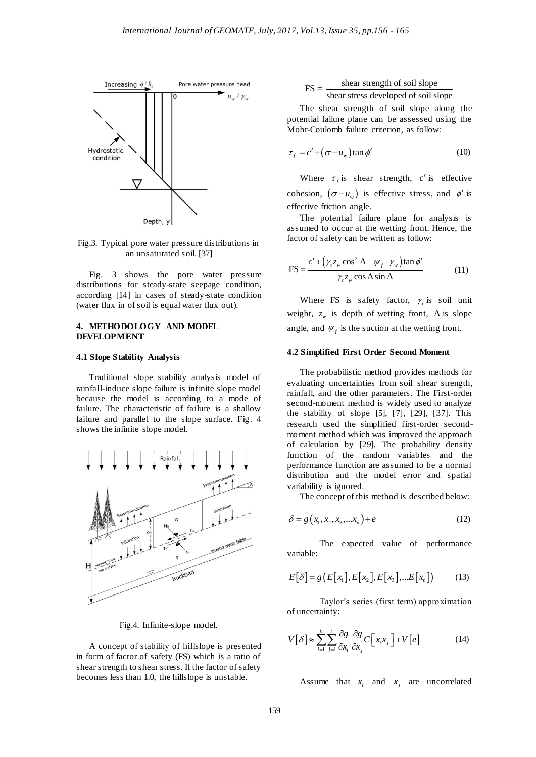

Fig.3. Typical pore water pressure distributions in an unsaturated soil. [37]

Fig. 3 shows the pore water pressure distributions for steady-state seepage condition, according [14] in cases of steady-state condition (water flux in of soil is equal water flux out).

#### **4. METHODOLOGY AND MODEL DEVELOPMENT**

#### **4.1 Slope Stability Analysis**

Traditional slope stability analysis model of rainfall-induce slope failure is infinite slope model because the model is according to a mode of failure. The characteristic of failure is a shallow failure and parallel to the slope surface. Fig. 4 shows the infinite slope model.



Fig.4. Infinite-slope model.

A concept of stability of hillslope is presented in form of factor of safety (FS) which is a ratio of shear strength to shear stress. If the factor of safety becomes less than 1.0, the hillslope is unstable.

 $FS = \frac{\text{shear strength of soil slope}}{\text{shear stress developed of soil slope}}$ 

The shear strength of soil slope along the potential failure plane can be assessed using the Mohr-Coulomb failure criterion, as follow:

$$
\tau_f = c' + (\sigma - u_w) \tan \phi' \tag{10}
$$

Where  $\tau_f$  is shear strength, c' is effective cohesion,  $(\sigma - u_w)$  is effective stress, and  $\phi'$  is effective friction angle.

The potential failure plane for analysis is assumed to occur at the wetting front. Hence, the factor of safety can be written as follow:

$$
FS = \frac{c' + (\gamma_t z_w \cos^2 A - \psi_f \cdot \gamma_w) \tan \phi'}{\gamma_t z_w \cos A \sin A}
$$
(11)

Where FS is safety factor,  $\gamma$  is soil unit weight,  $z_w$  is depth of wetting front, A is slope angle, and  $\psi_f$  is the suction at the wetting front.

### **4.2 Simplified First Order Second Moment**

The probabilistic method provides methods for evaluating uncertainties from soil shear strength, rainfall, and the other parameters. The First-order second-moment method is widely used to analyze the stability of slope  $[5]$ ,  $[7]$ ,  $[29]$ ,  $[37]$ . This research used the simplified first-order secondmoment method which was improved the approach of calculation by [29]. The probability density function of the random variables and the performance function are assumed to be a normal distribution and the model error and spatial variability is ignored.

The concept of this method is described below:

$$
\delta = g\left(x_1, x_2, x_3, \dots x_n\right) + e \tag{12}
$$

The expected value of performance variable:

$$
E[\delta] = g(E[x_1], E[x_2], E[x_3],...E[x_n])
$$
 (13)

Taylor's series (first term) approximation of uncertainty:

$$
V[\delta] \approx \sum_{i=1}^{k} \sum_{j=1}^{k} \frac{\partial g}{\partial x_i} \frac{\partial g}{\partial x_j} C\big[x_i x_j\big] + V[e] \tag{14}
$$

Assume that  $x_i$  and  $x_j$  are uncorrelated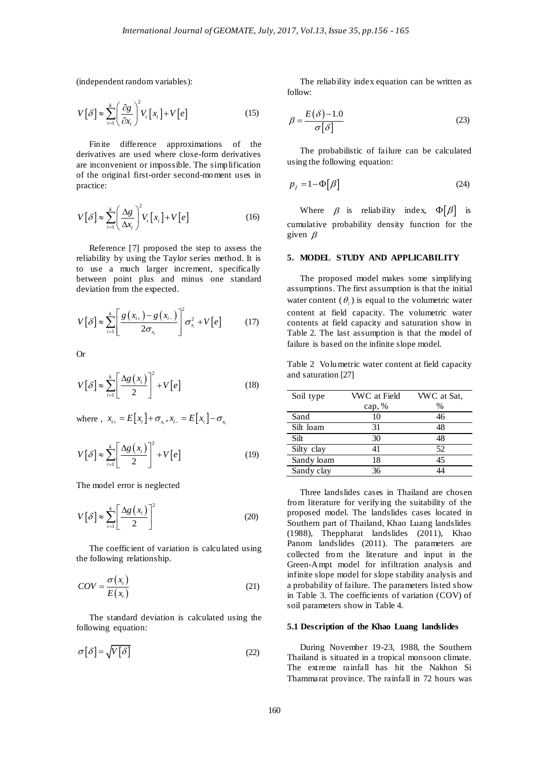(independent random variables):

$$
V[\delta] \approx \sum_{i=1}^{k} \left(\frac{\partial g}{\partial x_i}\right)^2 V_i[x_i] + V[e]
$$
 (15)

Finite difference approximations of the derivatives are used where close-form derivatives are inconvenient or impossible. The simplification of the original first-order second-moment uses in practice:

$$
V[\delta] \approx \sum_{i=1}^{k} \left(\frac{\Delta g}{\Delta x_i}\right)^2 V_i[x_i] + V[e]
$$
 (16)

Reference [7] proposed the step to assess the reliability by using the Taylor series method. It is to use a much larger increment, specifically between point plus and minus one standard deviation from the expected.

$$
V[\delta] \approx \sum_{i=1}^{k} \left[ \frac{g(x_{i+}) - g(x_{i-})}{2\sigma_{x_i}} \right]^2 \sigma_{x_i}^2 + V[e] \tag{17}
$$

Or

$$
V[\delta] \approx \sum_{i=1}^{k} \left[ \frac{\Delta g(x_i)}{2} \right]^2 + V[e] \tag{18}
$$

where ,  $x_{i+} = E[x_i] + \sigma_{x_i}$ ,  $x_{i-} = E[x_i] - \sigma_{x_i}$ 

$$
V[\delta] \approx \sum_{i=1}^{k} \left[ \frac{\Delta g(x_i)}{2} \right]^2 + V[e] \tag{19}
$$

The model error is neglected

$$
V[\delta] \approx \sum_{i=1}^{k} \left[ \frac{\Delta g(x_i)}{2} \right]^2 \tag{20}
$$

The coefficient of variation is calculated using the following relationship.

$$
COV = \frac{\sigma(x_i)}{E(x_i)}\tag{21}
$$

The standard deviation is calculated using the following equation:

 $\sigma[\delta] = \sqrt{V[\delta]}$  (22)

The reliability index equation can be written as follow:

$$
\beta = \frac{E(\delta) - 1.0}{\sigma[\delta]}
$$
\n(23)

The probabilistic of failure can be calculated using the following equation:

$$
p_f = 1 - \Phi[\beta] \tag{24}
$$

Where  $\beta$  is reliability index,  $\Phi[\beta]$  is cumulative probability density function for the given  $\beta$ 

#### **5. MODEL STUDY AND APPLICABILITY**

The proposed model makes some simplifying assumptions. The first assumption is that the initial water content  $(\theta_i)$  is equal to the volumetric water content at field capacity. The volumetric water contents at field capacity and saturation show in Table 2. The last assumption is that the model of failure is based on the infinite slope model.

Table 2 Volumetric water content at field capacity and saturation [27]

| Soil type  | VWC at Field | VWC at Sat, |
|------------|--------------|-------------|
|            | cap, $%$     | $\%$        |
| Sand       | 10           | 46          |
| Silt loam  | 31           | 48          |
| Silt       | 30           | 48          |
| Silty clay | 41           | 52          |
| Sandy loam | 18           | 45          |
| Sandy clay | 36           |             |

Three landslides cases in Thailand are chosen from literature for verifying the suitability of the proposed model. The landslides cases located in Southern part of Thailand, Khao Luang landslides (1988), Theppharat landslides (2011), Khao Panom landslides (2011). The parameters are collected from the literature and input in the Green-Ampt model for infiltration analysis and infinite slope model for slope stability analysis and a probability of failure. The parameters listed show in Table 3. The coefficients of variation (COV) of soil parameters show in Table 4.

#### **5.1 Description of the Khao Luang landslides**

During November 19-23, 1988, the Southern Thailand is situated in a tropical monsoon climate. The extreme rainfall has hit the Nakhon Si Thammarat province. The rainfall in 72 hours was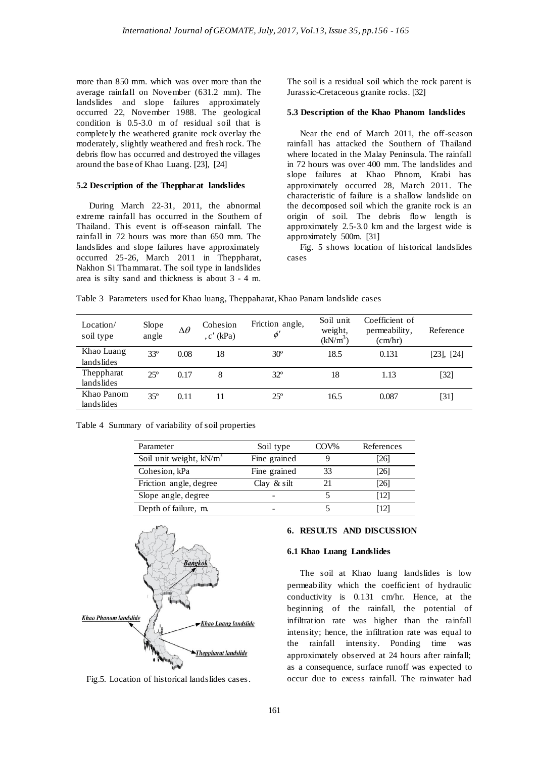more than 850 mm. which was over more than the average rainfall on November (631.2 mm). The landslides and slope failures approximately occurred 22, November 1988. The geological condition is 0.5-3.0 m of residual soil that is completely the weathered granite rock overlay the moderately, slightly weathered and fresh rock. The debris flow has occurred and destroyed the villages around the base of Khao Luang. [23], [24]

# **5.2 Description of the Theppharat landslides**

During March 22-31, 2011, the abnormal extreme rainfall has occurred in the Southern of Thailand. This event is off-season rainfall. The rainfall in 72 hours was more than 650 mm. The landslides and slope failures have approximately occurred 25-26, March 2011 in Theppharat, Nakhon Si Thammarat. The soil type in landslides area is silty sand and thickness is about 3 - 4 m.

The soil is a residual soil which the rock parent is Jurassic-Cretaceous granite rocks. [32]

#### **5.3 Description of the Khao Phanom landslides**

Near the end of March 2011, the off-season rainfall has attacked the Southern of Thailand where located in the Malay Peninsula. The rainfall in 72 hours was over 400 mm. The landslides and slope failures at Khao Phnom, Krabi has approximately occurred 28, March 2011. The characteristic of failure is a shallow landslide on the decomposed soil which the granite rock is an origin of soil. The debris flow length is approximately 2.5-3.0 km and the largest wide is approximately 500m. [31]

Fig. 5 shows location of historical landslides cases

Table 3 Parameters used for Khao luang, Theppaharat, Khao Panam landslide cases

| Location/<br>soil type   | Slope<br>angle | $\Delta\theta$ | Cohesion<br>(kPa)<br>$,c'$ $\overline{\phantom{a}}$ | Friction angle,<br>$\phi'$ | Soil unit<br>weight,<br>$(kN/m^3)$ | Coefficient of<br>permeability,<br>(cm/hr) | Reference       |
|--------------------------|----------------|----------------|-----------------------------------------------------|----------------------------|------------------------------------|--------------------------------------------|-----------------|
| Khao Luang<br>landslides | $33^{\circ}$   | 0.08           | 18                                                  | $30^\circ$                 | 18.5                               | 0.131                                      | $[23]$ , $[24]$ |
| Theppharat<br>landslides | $25^{\circ}$   | 0.17           | 8                                                   | $32^{\circ}$               | 18                                 | 1.13                                       | [32]            |
| Khao Panom<br>landslides | $35^\circ$     | 0.11           | 11                                                  | $25^{\circ}$               | 16.5                               | 0.087                                      | [31]            |

Table 4 Summary of variability of soil properties

| Parameter                 | Soil type      | COV% | References |
|---------------------------|----------------|------|------------|
| Soil unit weight, $kN/m3$ | Fine grained   |      | [26]       |
| Cohesion, kPa             | Fine grained   | 33   | [26]       |
| Friction angle, degree    | Clay $\&$ silt |      | [26]       |
| Slope angle, degree       |                |      | [12]       |
| Depth of failure, m.      |                |      | 121        |



Fig.5. Location of historical landslides cases.

### **6. RESULTS AND DISCUSSION**

#### **6.1 Khao Luang Landslides**

The soil at Khao luang landslides is low permeability which the coefficient of hydraulic conductivity is 0.131 cm/hr. Hence, at the beginning of the rainfall, the potential of infiltration rate was higher than the rainfall intensity; hence, the infiltration rate was equal to the rainfall intensity. Ponding time was approximately observed at 24 hours after rainfall; as a consequence, surface runoff was expected to occur due to excess rainfall. The rainwater had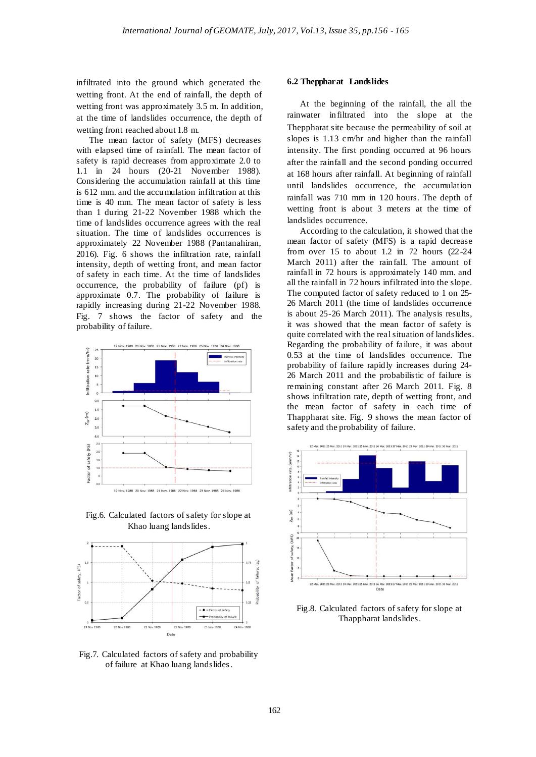infiltrated into the ground which generated the wetting front. At the end of rainfall, the depth of wetting front was approximately 3.5 m. In addition, at the time of landslides occurrence, the depth of wetting front reached about 1.8 m.

The mean factor of safety (MFS) decreases with elapsed time of rainfall. The mean factor of safety is rapid decreases from approximate 2.0 to 1.1 in 24 hours (20-21 November 1988). Considering the accumulation rainfall at this time is 612 mm. and the accumulation infiltration at this time is 40 mm. The mean factor of safety is less than 1 during 21-22 November 1988 which the time of landslides occurrence agrees with the real situation. The time of landslides occurrences is approximately 22 November 1988 (Pantanahiran, 2016). Fig. 6 shows the infiltration rate, rainfall intensity, depth of wetting front, and mean factor of safety in each time. At the time of landslides occurrence, the probability of failure (pf) is approximate 0.7. The probability of failure is rapidly increasing during 21-22 November 1988. Fig. 7 shows the factor of safety and the probability of failure.



Fig.6. Calculated factors of safety for slope at Khao luang landslides.



Fig.7. Calculated factors of safety and probability of failure at Khao luang landslides.

#### **6.2 Theppharat Landslides**

At the beginning of the rainfall, the all the rainwater infiltrated into the slope at the Theppharat site because the permeability of soil at slopes is 1.13 cm/hr and higher than the rainfall intensity. The first ponding occurred at 96 hours after the rainfall and the second ponding occurred at 168 hours after rainfall. At beginning of rainfall until landslides occurrence, the accumulation rainfall was 710 mm in 120 hours. The depth of wetting front is about 3 meters at the time of landslides occurrence.

According to the calculation, it showed that the mean factor of safety (MFS) is a rapid decrease from over 15 to about 1.2 in 72 hours (22-24 March 2011) after the rainfall. The amount of rainfall in 72 hours is approximately 140 mm. and all the rainfall in 72 hours infiltrated into the slope. The computed factor of safety reduced to 1 on 25- 26 March 2011 (the time of landslides occurrence is about 25-26 March 2011). The analysis results, it was showed that the mean factor of safety is quite correlated with the real situation of landslides. Regarding the probability of failure, it was about 0.53 at the time of landslides occurrence. The probability of failure rapidly increases during 24- 26 March 2011 and the probabilistic of failure is remaining constant after 26 March 2011. Fig. 8 shows infiltration rate, depth of wetting front, and the mean factor of safety in each time of Thappharat site. Fig. 9 shows the mean factor of safety and the probability of failure.



Fig.8. Calculated factors of safety for slope at Thappharat landslides.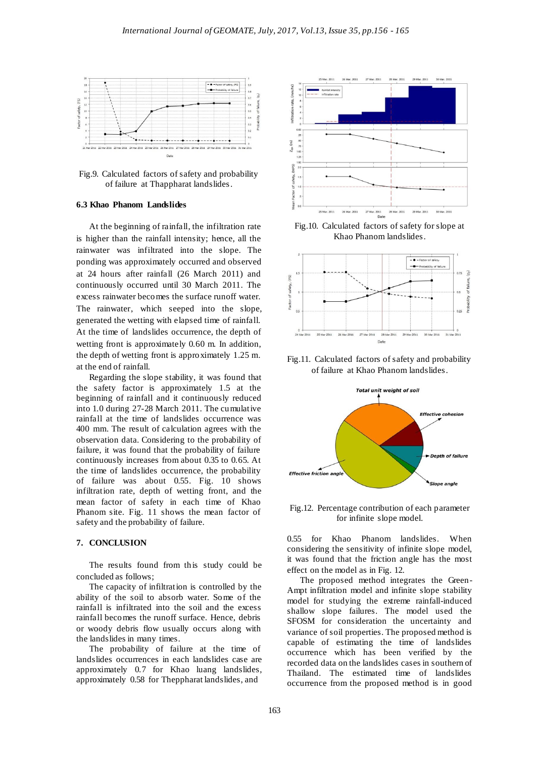

Fig.9. Calculated factors of safety and probability of failure at Thappharat landslides.

### **6.3 Khao Phanom Landslides**

At the beginning of rainfall, the infiltration rate is higher than the rainfall intensity; hence, all the rainwater was infiltrated into the slope. The ponding was approximately occurred and observed at 24 hours after rainfall (26 March 2011) and continuously occurred until 30 March 2011. The excess rainwater becomes the surface runoff water. The rainwater, which seeped into the slope, generated the wetting with elapsed time of rainfall. At the time of landslides occurrence, the depth of wetting front is approximately 0.60 m. In addition, the depth of wetting front is approximately 1.25 m. at the end of rainfall.

Regarding the slope stability, it was found that the safety factor is approximately 1.5 at the beginning of rainfall and it continuously reduced into 1.0 during 27-28 March 2011. The cumulative rainfall at the time of landslides occurrence was 400 mm. The result of calculation agrees with the observation data. Considering to the probability of failure, it was found that the probability of failure continuously increases from about 0.35 to 0.65. At the time of landslides occurrence, the probability of failure was about 0.55. Fig. 10 shows infiltration rate, depth of wetting front, and the mean factor of safety in each time of Khao Phanom site. Fig. 11 shows the mean factor of safety and the probability of failure.

#### **7. CONCLUSION**

The results found from this study could be concluded as follows;

The capacity of infiltration is controlled by the ability of the soil to absorb water. Some of the rainfall is infiltrated into the soil and the excess rainfall becomes the runoff surface. Hence, debris or woody debris flow usually occurs along with the landslides in many times.

The probability of failure at the time of landslides occurrences in each landslides case are approximately 0.7 for Khao luang landslides, approximately 0.58 for Theppharat landslides, and



Fig.10. Calculated factors of safety for slope at Khao Phanom landslides.



Fig.11. Calculated factors of safety and probability of failure at Khao Phanom landslides.



Fig.12. Percentage contribution of each parameter for infinite slope model.

0.55 for Khao Phanom landslides. When considering the sensitivity of infinite slope model, it was found that the friction angle has the most effect on the model as in Fig. 12.

The proposed method integrates the Green-Ampt infiltration model and infinite slope stability model for studying the extreme rainfall-induced shallow slope failures. The model used the SFOSM for consideration the uncertainty and variance of soil properties. The proposed method is capable of estimating the time of landslides occurrence which has been verified by the recorded data on the landslides cases in southern of Thailand. The estimated time of landslides occurrence from the proposed method is in good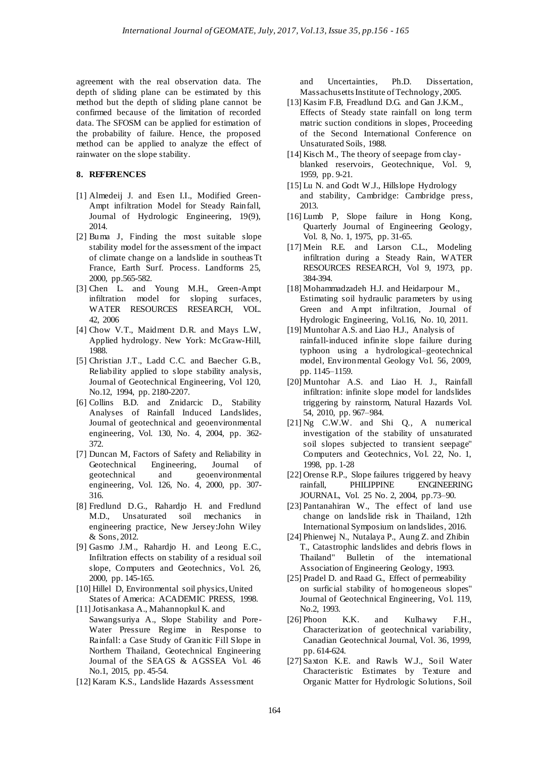agreement with the real observation data. The depth of sliding plane can be estimated by this method but the depth of sliding plane cannot be confirmed because of the limitation of recorded data. The SFOSM can be applied for estimation of the probability of failure. Hence, the proposed method can be applied to analyze the effect of rainwater on the slope stability.

### **8. REFERENCES**

- [1] Almedeij J. and Esen I.I., Modified Green-Ampt infiltration Model for Steady Rainfall, Journal of Hydrologic Engineering, 19(9), 2014.
- [2] Buma J, Finding the most suitable slope stability model for the assessment of the impact of climate change on a landslide in southeasTt France, Earth Surf. Process. Landforms 25, 2000, pp.565-582.
- [3] Chen L. and Young M.H., Green-Ampt infiltration model for sloping surfaces, WATER RESOURCES RESEARCH, VOL. 42, 2006
- [4] Chow V.T., Maidment D.R. and Mays L.W, Applied hydrology. New York: McGraw-Hill, 1988.
- [5] Christian J.T., Ladd C.C. and Baecher G.B., Reliability applied to slope stability analysis, Journal of Geotechnical Engineering, Vol 120, No.12, 1994, pp. 2180-2207.
- [6] Collins B.D. and Znidarcic D., Stability Analyses of Rainfall Induced Landslides, Journal of geotechnical and geoenvironmental engineering, Vol. 130, No. 4, 2004, pp. 362- 372.
- [7] Duncan M, Factors of Safety and Reliability in Geotechnical Engineering, Journal of geotechnical and geoenvironmental engineering, Vol. 126, No. 4, 2000, pp. 307- 316.
- [8] Fredlund D.G., Rahardjo H. and Fredlund M.D., Unsaturated soil mechanics in engineering practice, New Jersey:John Wiley & Sons, 2012.
- [9] Gasmo J.M., Rahardjo H. and Leong E.C., Infiltration effects on stability of a residual soil slope, Computers and Geotechnics, Vol. 26, 2000, pp. 145-165.
- [10] Hillel D, Environmental soil physics, United States of America: ACADEMIC PRESS, 1998.
- [11] Jotisankasa A., Mahannopkul K. and
- Sawangsuriya A., Slope Stability and Pore-Water Pressure Regime in Response to Rainfall: a Case Study of Granitic Fill Slope in Northern Thailand, Geotechnical Engineering Journal of the SEAGS & AGSSEA Vol. 46 No.1, 2015, pp. 45-54.
- [12] Karam K.S., Landslide Hazards Assessment

and Uncertainties, Ph.D. Dissertation, Massachusetts Institute of Technology, 2005.

- [13] Kasim F.B, Freadlund D.G. and Gan J.K.M., Effects of Steady state rainfall on long term matric suction conditions in slopes, Proceeding of the Second International Conference on Unsaturated Soils, 1988.
- [14] Kisch M., The theory of seepage from clayblanked reservoirs, Geotechnique, Vol. 9, 1959, pp. 9-21.
- [15] Lu N. and Godt W.J., Hillslope Hydrology and stability, Cambridge: Cambridge press, 2013.
- [16] Lumb P, Slope failure in Hong Kong, Quarterly Journal of Engineering Geology, Vol. 8, No. 1, 1975, pp. 31-65.
- [17] Mein R.E. and Larson C.L., Modeling infiltration during a Steady Rain, WATER RESOURCES RESEARCH, Vol 9, 1973, pp. 384-394.
- [18] Mohammadzadeh H.J. and Heidarpour M., Estimating soil hydraulic parameters by using Green and Ampt infiltration, Journal of Hydrologic Engineering, Vol.16, No. 10, 2011.
- [19] Muntohar A.S. and Liao H.J., Analysis of rainfall-induced infinite slope failure during typhoon using a hydrological–geotechnical model, Environmental Geology Vol. 56, 2009, pp. 1145–1159.
- [20] Muntohar A.S. and Liao H. J., Rainfall infiltration: infinite slope model for landslides triggering by rainstorm, Natural Hazards Vol. 54, 2010, pp. 967–984.
- [21] Ng C.W.W. and Shi Q., A numerical investigation of the stability of unsaturated soil slopes subjected to transient seepage" Computers and Geotechnics, Vol. 22, No. 1, 1998, pp. 1-28
- [22] Orense R.P., Slope failures triggered by heavy rainfall, PHILIPPINE ENGINEERING JOURNAL, Vol. 25 No. 2, 2004, pp.73–90.
- [23] Pantanahiran W., The effect of land use change on landslide risk in Thailand, 12th International Symposium on landslides, 2016.
- [24] Phienwej N., Nutalaya P., Aung Z. and Zhibin T., Catastrophic landslides and debris flows in Thailand" Bulletin of the international Association of Engineering Geology, 1993.
- [25] Pradel D. and Raad G., Effect of permeability on surficial stability of homogeneous slopes" Journal of Geotechnical Engineering, Vol. 119, No.2, 1993.
- [26] Phoon K.K. and Kulhawy F.H., Characterization of geotechnical variability, Canadian Geotechnical Journal, Vol. 36, 1999, pp. 614-624.
- [27] Saxton K.E. and Rawls W.J., Soil Water Characteristic Estimates by Texture and Organic Matter for Hydrologic Solutions, Soil